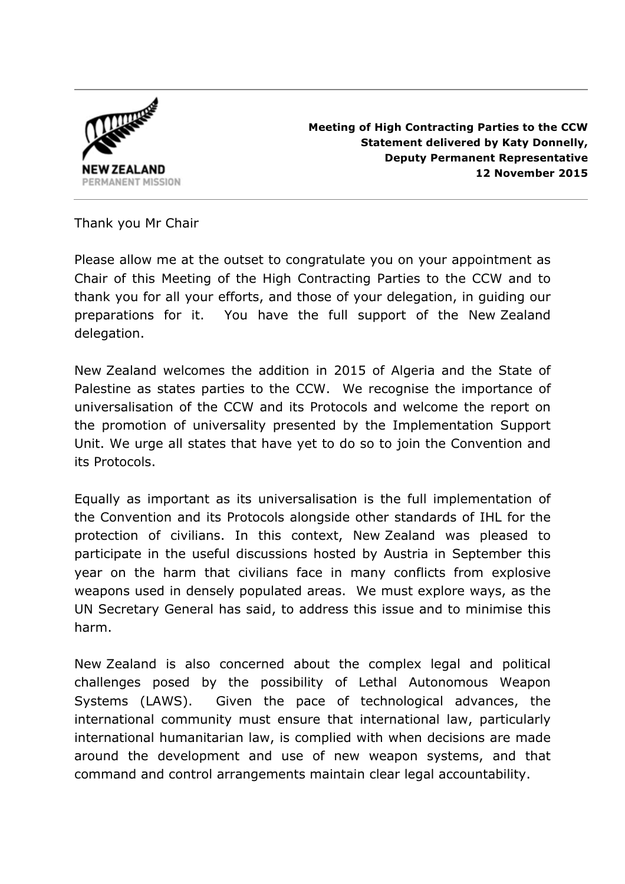

**Meeting of High Contracting Parties to the CCW Statement delivered by Katy Donnelly, Deputy Permanent Representative 12 November 2015**

Thank you Mr Chair

Please allow me at the outset to congratulate you on your appointment as Chair of this Meeting of the High Contracting Parties to the CCW and to thank you for all your efforts, and those of your delegation, in guiding our preparations for it. You have the full support of the New Zealand delegation.

New Zealand welcomes the addition in 2015 of Algeria and the State of Palestine as states parties to the CCW. We recognise the importance of universalisation of the CCW and its Protocols and welcome the report on the promotion of universality presented by the Implementation Support Unit. We urge all states that have yet to do so to join the Convention and its Protocols.

Equally as important as its universalisation is the full implementation of the Convention and its Protocols alongside other standards of IHL for the protection of civilians. In this context, New Zealand was pleased to participate in the useful discussions hosted by Austria in September this year on the harm that civilians face in many conflicts from explosive weapons used in densely populated areas. We must explore ways, as the UN Secretary General has said, to address this issue and to minimise this harm.

New Zealand is also concerned about the complex legal and political challenges posed by the possibility of Lethal Autonomous Weapon Systems (LAWS). Given the pace of technological advances, the international community must ensure that international law, particularly international humanitarian law, is complied with when decisions are made around the development and use of new weapon systems, and that command and control arrangements maintain clear legal accountability.